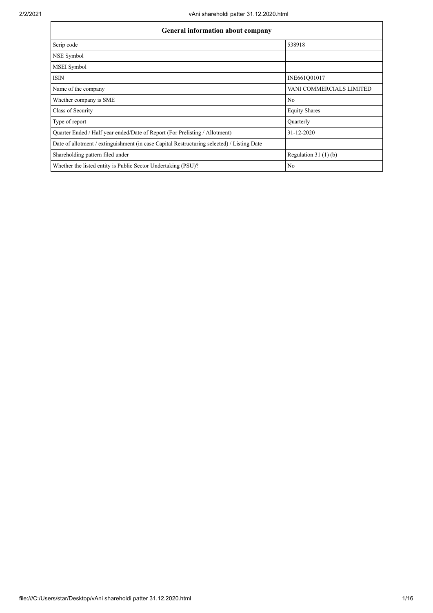| <b>General information about company</b>                                                   |                          |  |  |  |  |  |  |  |  |
|--------------------------------------------------------------------------------------------|--------------------------|--|--|--|--|--|--|--|--|
| Scrip code                                                                                 | 538918                   |  |  |  |  |  |  |  |  |
| NSE Symbol                                                                                 |                          |  |  |  |  |  |  |  |  |
| MSEI Symbol                                                                                |                          |  |  |  |  |  |  |  |  |
| <b>ISIN</b>                                                                                | INE661Q01017             |  |  |  |  |  |  |  |  |
| Name of the company                                                                        | VANI COMMERCIALS LIMITED |  |  |  |  |  |  |  |  |
| Whether company is SME                                                                     | N <sub>0</sub>           |  |  |  |  |  |  |  |  |
| Class of Security                                                                          | <b>Equity Shares</b>     |  |  |  |  |  |  |  |  |
| Type of report                                                                             | Ouarterly                |  |  |  |  |  |  |  |  |
| Quarter Ended / Half year ended/Date of Report (For Prelisting / Allotment)                | 31-12-2020               |  |  |  |  |  |  |  |  |
| Date of allotment / extinguishment (in case Capital Restructuring selected) / Listing Date |                          |  |  |  |  |  |  |  |  |
| Shareholding pattern filed under                                                           | Regulation $31(1)(b)$    |  |  |  |  |  |  |  |  |
| Whether the listed entity is Public Sector Undertaking (PSU)?                              | N <sub>0</sub>           |  |  |  |  |  |  |  |  |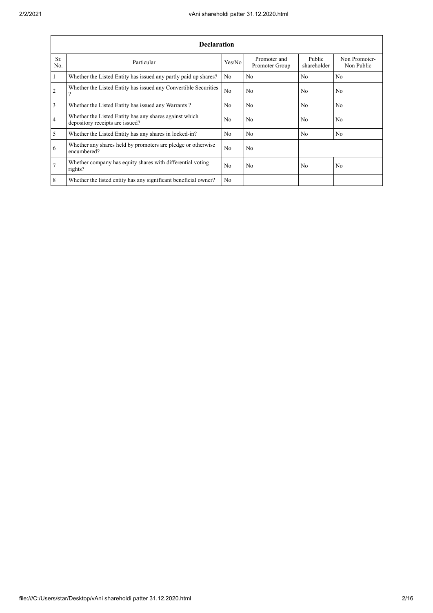|                  | <b>Declaration</b>                                                                        |                |                                |                       |                             |  |  |  |  |  |  |  |
|------------------|-------------------------------------------------------------------------------------------|----------------|--------------------------------|-----------------------|-----------------------------|--|--|--|--|--|--|--|
| Sr.<br>No.       | Particular                                                                                | Yes/No         | Promoter and<br>Promoter Group | Public<br>shareholder | Non Promoter-<br>Non Public |  |  |  |  |  |  |  |
| $\overline{1}$   | Whether the Listed Entity has issued any partly paid up shares?                           | No.            | N <sub>0</sub>                 | N <sub>0</sub>        | N <sub>0</sub>              |  |  |  |  |  |  |  |
| $\overline{2}$   | Whether the Listed Entity has issued any Convertible Securities<br>$\gamma$               | N <sub>o</sub> | No                             | N <sub>0</sub>        | N <sub>0</sub>              |  |  |  |  |  |  |  |
| $\overline{3}$   | Whether the Listed Entity has issued any Warrants?                                        | N <sub>o</sub> | N <sub>0</sub>                 | No                    | N <sub>o</sub>              |  |  |  |  |  |  |  |
| $\overline{4}$   | Whether the Listed Entity has any shares against which<br>depository receipts are issued? | N <sub>0</sub> | No                             | N <sub>0</sub>        | N <sub>0</sub>              |  |  |  |  |  |  |  |
| $\overline{5}$   | Whether the Listed Entity has any shares in locked-in?                                    | N <sub>o</sub> | N <sub>0</sub>                 | No                    | N <sub>0</sub>              |  |  |  |  |  |  |  |
| 6                | Whether any shares held by promoters are pledge or otherwise<br>encumbered?               | N <sub>0</sub> | N <sub>0</sub>                 |                       |                             |  |  |  |  |  |  |  |
| $\overline{7}$   | Whether company has equity shares with differential voting<br>rights?                     | N <sub>0</sub> | No                             | N <sub>0</sub>        | N <sub>o</sub>              |  |  |  |  |  |  |  |
| $\boldsymbol{8}$ | Whether the listed entity has any significant beneficial owner?                           | N <sub>0</sub> |                                |                       |                             |  |  |  |  |  |  |  |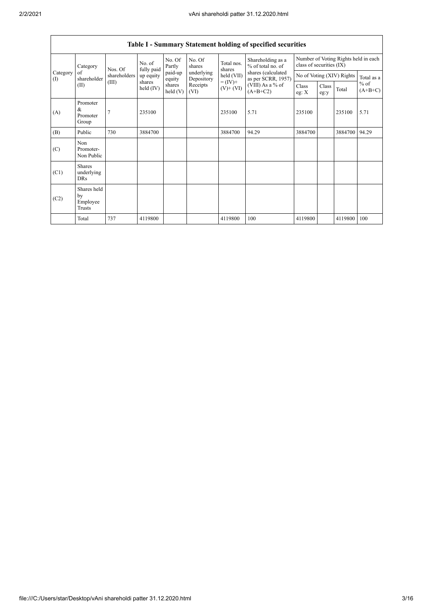|                 | Table I - Summary Statement holding of specified securities |              |                      |                      |                          |                                                                    |                                                                                                                      |                                                                  |               |         |                     |  |  |
|-----------------|-------------------------------------------------------------|--------------|----------------------|----------------------|--------------------------|--------------------------------------------------------------------|----------------------------------------------------------------------------------------------------------------------|------------------------------------------------------------------|---------------|---------|---------------------|--|--|
|                 | Category                                                    | Nos. Of      | No. of<br>fully paid | No. Of<br>Partly     | No. Of<br>shares         | Total nos.<br>shares<br>held (VII)<br>$= (IV) +$<br>$(V)$ + $(VI)$ | Shareholding as a<br>% of total no. of<br>shares (calculated<br>as per SCRR, 1957)<br>(VIII) As a % of<br>$(A+B+C2)$ | Number of Voting Rights held in each<br>class of securities (IX) |               |         |                     |  |  |
| Category<br>(1) | of<br>shareholder                                           | shareholders | up equity            | paid-up<br>equity    | underlying<br>Depository |                                                                    |                                                                                                                      | No of Voting (XIV) Rights                                        |               |         | Total as a          |  |  |
|                 | (II)                                                        | (III)        | shares<br>held (IV)  | shares<br>held $(V)$ | Receipts<br>(VI)         |                                                                    |                                                                                                                      | Class<br>eg: $X$                                                 | Class<br>eg:y | Total   | $%$ of<br>$(A+B+C)$ |  |  |
| (A)             | Promoter<br>&<br>Promoter<br>Group                          | 7            | 235100               |                      |                          | 235100                                                             | 5.71                                                                                                                 | 235100                                                           |               | 235100  | 5.71                |  |  |
| (B)             | Public                                                      | 730          | 3884700              |                      |                          | 3884700                                                            | 94.29                                                                                                                | 3884700                                                          |               | 3884700 | 94.29               |  |  |
| (C)             | Non<br>Promoter-<br>Non Public                              |              |                      |                      |                          |                                                                    |                                                                                                                      |                                                                  |               |         |                     |  |  |
| (C1)            | <b>Shares</b><br>underlying<br><b>DRs</b>                   |              |                      |                      |                          |                                                                    |                                                                                                                      |                                                                  |               |         |                     |  |  |
| (C2)            | Shares held<br>by<br>Employee<br>Trusts                     |              |                      |                      |                          |                                                                    |                                                                                                                      |                                                                  |               |         |                     |  |  |
|                 | Total                                                       | 737          | 4119800              |                      |                          | 4119800                                                            | 100                                                                                                                  | 4119800                                                          |               | 4119800 | 100                 |  |  |

٦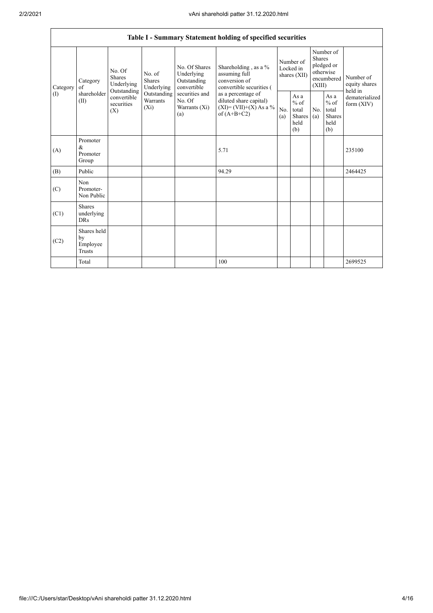|                 |                                           |                                                                                                                                |                         |                                                                                                               | Table I - Summary Statement holding of specified securities                                                                                                                      |                                        |                                                  |                                                                               |                                                         |                                       |
|-----------------|-------------------------------------------|--------------------------------------------------------------------------------------------------------------------------------|-------------------------|---------------------------------------------------------------------------------------------------------------|----------------------------------------------------------------------------------------------------------------------------------------------------------------------------------|----------------------------------------|--------------------------------------------------|-------------------------------------------------------------------------------|---------------------------------------------------------|---------------------------------------|
| Category<br>(I) | Category<br>of<br>shareholder<br>(II)     | No. Of<br>No. of<br><b>Shares</b><br><b>Shares</b><br>Underlying<br>Outstanding<br>convertible<br>securities<br>$(X_i)$<br>(X) | Underlying              | No. Of Shares<br>Underlying<br>Outstanding<br>convertible<br>securities and<br>No. Of<br>Warrants (Xi)<br>(a) | Shareholding, as a %<br>assuming full<br>conversion of<br>convertible securities (<br>as a percentage of<br>diluted share capital)<br>$(XI) = (VII)+(X) As a %$<br>of $(A+B+C2)$ | Number of<br>Locked in<br>shares (XII) |                                                  | Number of<br><b>Shares</b><br>pledged or<br>otherwise<br>encumbered<br>(XIII) |                                                         | Number of<br>equity shares<br>held in |
|                 |                                           |                                                                                                                                | Outstanding<br>Warrants |                                                                                                               |                                                                                                                                                                                  | No.<br>(a)                             | As a<br>$%$ of<br>total<br>Shares<br>held<br>(b) | No.<br>(a)                                                                    | As a<br>$%$ of<br>total<br><b>Shares</b><br>held<br>(b) | dematerialized<br>form $(XIV)$        |
| (A)             | Promoter<br>$\&$<br>Promoter<br>Group     |                                                                                                                                |                         |                                                                                                               | 5.71                                                                                                                                                                             |                                        |                                                  |                                                                               |                                                         | 235100                                |
| (B)             | Public                                    |                                                                                                                                |                         |                                                                                                               | 94.29                                                                                                                                                                            |                                        |                                                  |                                                                               |                                                         | 2464425                               |
| (C)             | Non<br>Promoter-<br>Non Public            |                                                                                                                                |                         |                                                                                                               |                                                                                                                                                                                  |                                        |                                                  |                                                                               |                                                         |                                       |
| (C1)            | <b>Shares</b><br>underlying<br><b>DRs</b> |                                                                                                                                |                         |                                                                                                               |                                                                                                                                                                                  |                                        |                                                  |                                                                               |                                                         |                                       |
| (C2)            | Shares held<br>by<br>Employee<br>Trusts   |                                                                                                                                |                         |                                                                                                               |                                                                                                                                                                                  |                                        |                                                  |                                                                               |                                                         |                                       |
|                 | Total                                     |                                                                                                                                |                         |                                                                                                               | 100                                                                                                                                                                              |                                        |                                                  |                                                                               |                                                         | 2699525                               |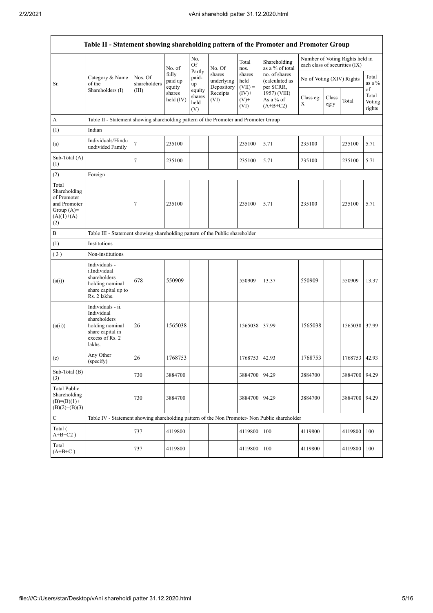$\mathsf{r}$ 

| Table II - Statement showing shareholding pattern of the Promoter and Promoter Group        |                                                                                                                     |                                                                              |                            |                                 |                                    |                             |                                              |                               |               |                                 |                                 |  |
|---------------------------------------------------------------------------------------------|---------------------------------------------------------------------------------------------------------------------|------------------------------------------------------------------------------|----------------------------|---------------------------------|------------------------------------|-----------------------------|----------------------------------------------|-------------------------------|---------------|---------------------------------|---------------------------------|--|
|                                                                                             |                                                                                                                     |                                                                              | No. of                     | No.<br>Of                       | No. Of                             | Total<br>nos.               | Shareholding<br>as a % of total              | each class of securities (IX) |               | Number of Voting Rights held in |                                 |  |
| Sr.                                                                                         | Category & Name<br>of the                                                                                           | Nos. Of<br>shareholders                                                      | fully<br>paid up<br>equity | Partly<br>paid-<br>up           | shares<br>underlying<br>Depository | shares<br>held<br>$(VII) =$ | no. of shares<br>(calculated as<br>per SCRR, | No of Voting (XIV) Rights     |               |                                 | Total<br>as a %                 |  |
|                                                                                             | Shareholders (I)                                                                                                    | (III)                                                                        | shares<br>held (IV)        | equity<br>shares<br>held<br>(V) | Receipts<br>(VI)                   | $(IV)+$<br>$(V)$ +<br>(VI)  | 1957) (VIII)<br>As a % of<br>$(A+B+C2)$      | Class eg:<br>X                | Class<br>eg:y | Total                           | of<br>Total<br>Voting<br>rights |  |
| A                                                                                           | Table II - Statement showing shareholding pattern of the Promoter and Promoter Group                                |                                                                              |                            |                                 |                                    |                             |                                              |                               |               |                                 |                                 |  |
| (1)                                                                                         | Indian                                                                                                              |                                                                              |                            |                                 |                                    |                             |                                              |                               |               |                                 |                                 |  |
| (a)                                                                                         | Individuals/Hindu<br>undivided Family                                                                               | $\overline{7}$                                                               | 235100                     |                                 |                                    | 235100                      | 5.71                                         | 235100                        |               | 235100                          | 5.71                            |  |
| Sub-Total (A)<br>(1)                                                                        |                                                                                                                     | 7                                                                            | 235100                     |                                 |                                    | 235100                      | 5.71                                         | 235100                        |               | 235100                          | 5.71                            |  |
| (2)                                                                                         | Foreign                                                                                                             |                                                                              |                            |                                 |                                    |                             |                                              |                               |               |                                 |                                 |  |
| Total<br>Shareholding<br>of Promoter<br>and Promoter<br>Group $(A)=$<br>$(A)(1)+(A)$<br>(2) |                                                                                                                     | 7                                                                            | 235100                     |                                 |                                    | 235100                      | 5.71                                         | 235100                        |               | 235100                          | 5.71                            |  |
| $\, {\bf B}$                                                                                |                                                                                                                     | Table III - Statement showing shareholding pattern of the Public shareholder |                            |                                 |                                    |                             |                                              |                               |               |                                 |                                 |  |
| (1)                                                                                         | Institutions                                                                                                        |                                                                              |                            |                                 |                                    |                             |                                              |                               |               |                                 |                                 |  |
| (3)                                                                                         | Non-institutions                                                                                                    |                                                                              |                            |                                 |                                    |                             |                                              |                               |               |                                 |                                 |  |
| (a(i))                                                                                      | Individuals -<br>i.Individual<br>shareholders<br>holding nominal<br>share capital up to<br>Rs. 2 lakhs.             | 678                                                                          | 550909                     |                                 |                                    | 550909                      | 13.37                                        | 550909                        |               | 550909                          | 13.37                           |  |
| (a(ii))                                                                                     | Individuals - ii.<br>Individual<br>shareholders<br>holding nominal<br>share capital in<br>excess of Rs. 2<br>lakhs. | 26                                                                           | 1565038                    |                                 |                                    | 1565038                     | 37.99                                        | 1565038                       |               | 1565038 37.99                   |                                 |  |
| (e)                                                                                         | Any Other<br>(specify)                                                                                              | 26                                                                           | 1768753                    |                                 |                                    | 1768753                     | 42.93                                        | 1768753                       |               | 1768753 42.93                   |                                 |  |
| Sub-Total (B)<br>(3)                                                                        |                                                                                                                     | 730                                                                          | 3884700                    |                                 |                                    | 3884700                     | 94.29                                        | 3884700                       |               | 3884700 94.29                   |                                 |  |
| <b>Total Public</b><br>Shareholding<br>$(B)=(B)(1)+$<br>$(B)(2)+(B)(3)$                     |                                                                                                                     | 730                                                                          | 3884700                    |                                 |                                    | 3884700                     | 94.29                                        | 3884700                       |               | 3884700                         | 94.29                           |  |
| $\mathbf C$                                                                                 | Table IV - Statement showing shareholding pattern of the Non Promoter- Non Public shareholder                       |                                                                              |                            |                                 |                                    |                             |                                              |                               |               |                                 |                                 |  |
| Total (<br>$A+B+C2$ )                                                                       |                                                                                                                     | 737                                                                          | 4119800                    |                                 |                                    | 4119800                     | 100                                          | 4119800                       |               | 4119800                         | 100                             |  |
| Total<br>$(A+B+C)$                                                                          |                                                                                                                     | 737                                                                          | 4119800                    |                                 |                                    | 4119800                     | 100                                          | 4119800                       |               | 4119800                         | 100                             |  |

 $\overline{\phantom{a}}$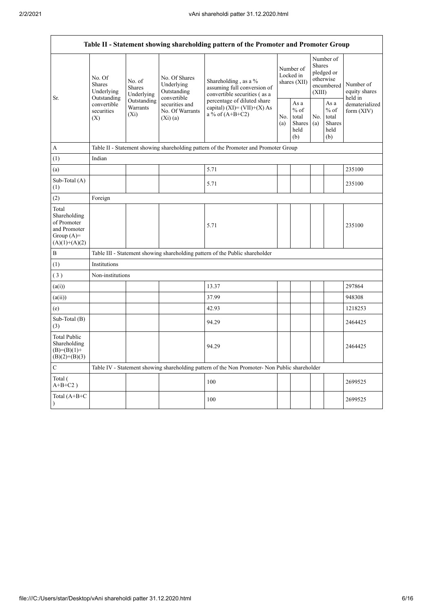| Table II - Statement showing shareholding pattern of the Promoter and Promoter Group    |                                                                                          |                                                                                      |                                                             |                                                                                                                                                                                         |  |                                                  |            |                                                                               |                                       |  |  |  |  |
|-----------------------------------------------------------------------------------------|------------------------------------------------------------------------------------------|--------------------------------------------------------------------------------------|-------------------------------------------------------------|-----------------------------------------------------------------------------------------------------------------------------------------------------------------------------------------|--|--------------------------------------------------|------------|-------------------------------------------------------------------------------|---------------------------------------|--|--|--|--|
|                                                                                         | No. Of<br><b>Shares</b><br>Underlying<br>Outstanding<br>convertible<br>securities<br>(X) | No. of<br><b>Shares</b><br>Underlying                                                | No. Of Shares<br>Underlying<br>Outstanding                  | Shareholding, as a %<br>assuming full conversion of<br>convertible securities (as a<br>percentage of diluted share<br>capital) $(XI) = (VII)+(X) As$<br>a % of $(A+B+C2)$<br>No.<br>(a) |  | Number of<br>Locked in<br>shares (XII)           |            | Number of<br><b>Shares</b><br>pledged or<br>otherwise<br>encumbered<br>(XIII) | Number of<br>equity shares<br>held in |  |  |  |  |
| Sr.                                                                                     |                                                                                          | Outstanding<br>Warrants<br>$(X_i)$                                                   | convertible<br>securities and<br>No. Of Warrants<br>(Xi)(a) |                                                                                                                                                                                         |  | As a<br>$%$ of<br>total<br>Shares<br>held<br>(b) | No.<br>(a) | As a<br>$%$ of<br>total<br><b>Shares</b><br>held<br>(b)                       | dematerialized<br>form $(XIV)$        |  |  |  |  |
| А                                                                                       |                                                                                          | Table II - Statement showing shareholding pattern of the Promoter and Promoter Group |                                                             |                                                                                                                                                                                         |  |                                                  |            |                                                                               |                                       |  |  |  |  |
| (1)                                                                                     | Indian                                                                                   |                                                                                      |                                                             |                                                                                                                                                                                         |  |                                                  |            |                                                                               |                                       |  |  |  |  |
| (a)                                                                                     |                                                                                          |                                                                                      |                                                             | 5.71                                                                                                                                                                                    |  |                                                  |            |                                                                               | 235100                                |  |  |  |  |
| Sub-Total (A)<br>(1)                                                                    |                                                                                          |                                                                                      |                                                             | 5.71                                                                                                                                                                                    |  |                                                  |            |                                                                               | 235100                                |  |  |  |  |
| (2)                                                                                     | Foreign                                                                                  |                                                                                      |                                                             |                                                                                                                                                                                         |  |                                                  |            |                                                                               |                                       |  |  |  |  |
| Total<br>Shareholding<br>of Promoter<br>and Promoter<br>Group $(A)=$<br>$(A)(1)+(A)(2)$ |                                                                                          |                                                                                      |                                                             | 5.71                                                                                                                                                                                    |  |                                                  |            |                                                                               | 235100                                |  |  |  |  |
| B                                                                                       |                                                                                          |                                                                                      |                                                             | Table III - Statement showing shareholding pattern of the Public shareholder                                                                                                            |  |                                                  |            |                                                                               |                                       |  |  |  |  |
| (1)                                                                                     | Institutions                                                                             |                                                                                      |                                                             |                                                                                                                                                                                         |  |                                                  |            |                                                                               |                                       |  |  |  |  |
| (3)                                                                                     | Non-institutions                                                                         |                                                                                      |                                                             |                                                                                                                                                                                         |  |                                                  |            |                                                                               |                                       |  |  |  |  |
| (a(i))                                                                                  |                                                                                          |                                                                                      |                                                             | 13.37                                                                                                                                                                                   |  |                                                  |            |                                                                               | 297864                                |  |  |  |  |
| (a(ii))                                                                                 |                                                                                          |                                                                                      |                                                             | 37.99                                                                                                                                                                                   |  |                                                  |            |                                                                               | 948308                                |  |  |  |  |
| (e)                                                                                     |                                                                                          |                                                                                      |                                                             | 42.93                                                                                                                                                                                   |  |                                                  |            |                                                                               | 1218253                               |  |  |  |  |
| Sub-Total (B)<br>(3)                                                                    |                                                                                          |                                                                                      |                                                             | 94.29                                                                                                                                                                                   |  |                                                  |            |                                                                               | 2464425                               |  |  |  |  |
| <b>Total Public</b><br>Shareholding<br>$(B)= (B)(1) +$<br>$(B)(2)+(B)(3)$               |                                                                                          |                                                                                      |                                                             | 94.29                                                                                                                                                                                   |  |                                                  |            |                                                                               | 2464425                               |  |  |  |  |
| $\mathbf C$                                                                             |                                                                                          |                                                                                      |                                                             | Table IV - Statement showing shareholding pattern of the Non Promoter- Non Public shareholder                                                                                           |  |                                                  |            |                                                                               |                                       |  |  |  |  |
| Total (<br>$A+B+C2$ )                                                                   |                                                                                          |                                                                                      |                                                             | 100                                                                                                                                                                                     |  |                                                  |            |                                                                               | 2699525                               |  |  |  |  |
| Total (A+B+C<br>$\mathcal{L}$                                                           |                                                                                          |                                                                                      |                                                             | 100                                                                                                                                                                                     |  |                                                  |            |                                                                               | 2699525                               |  |  |  |  |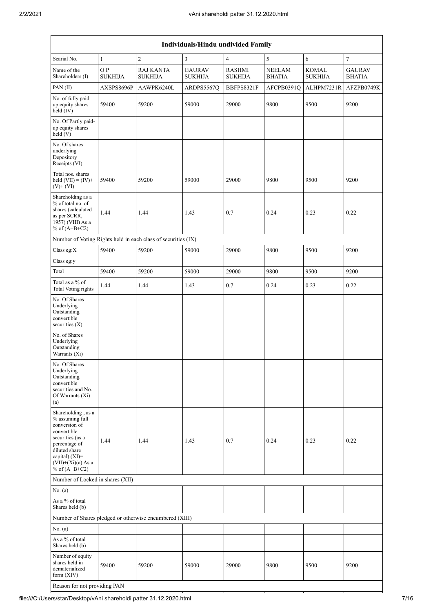| Individuals/Hindu undivided Family                                                                                                                                                       |                      |                                                         |                                 |                                 |                                |                                |                                |  |  |  |  |
|------------------------------------------------------------------------------------------------------------------------------------------------------------------------------------------|----------------------|---------------------------------------------------------|---------------------------------|---------------------------------|--------------------------------|--------------------------------|--------------------------------|--|--|--|--|
| Searial No.                                                                                                                                                                              | $\mathbf{1}$         | $\overline{c}$                                          | 3                               | $\overline{4}$                  | 5                              | $\sqrt{6}$                     | $\tau$                         |  |  |  |  |
| Name of the<br>Shareholders (I)                                                                                                                                                          | OP<br><b>SUKHIJA</b> | <b>RAJ KANTA</b><br><b>SUKHIJA</b>                      | <b>GAURAV</b><br><b>SUKHIJA</b> | <b>RASHMI</b><br><b>SUKHIJA</b> | <b>NEELAM</b><br><b>BHATIA</b> | <b>KOMAL</b><br><b>SUKHIJA</b> | <b>GAURAV</b><br><b>BHATIA</b> |  |  |  |  |
| PAN(II)                                                                                                                                                                                  | AXSPS8696P           | AAWPK6240L                                              | ARDPS5567Q                      | BBFPS8321F                      | AFCPB0391Q                     | ALHPM7231R                     | AFZPB0749K                     |  |  |  |  |
| No. of fully paid<br>up equity shares<br>held (IV)                                                                                                                                       | 59400                | 59200                                                   | 59000                           | 29000                           | 9800                           | 9500                           | 9200                           |  |  |  |  |
| No. Of Partly paid-<br>up equity shares<br>held(V)                                                                                                                                       |                      |                                                         |                                 |                                 |                                |                                |                                |  |  |  |  |
| No. Of shares<br>underlying<br>Depository<br>Receipts (VI)                                                                                                                               |                      |                                                         |                                 |                                 |                                |                                |                                |  |  |  |  |
| Total nos. shares<br>held $(VII) = (IV) +$<br>$(V)$ + $(VI)$                                                                                                                             | 59400                | 59200                                                   | 59000                           | 29000                           | 9800                           | 9500                           | 9200                           |  |  |  |  |
| Shareholding as a<br>% of total no. of<br>shares (calculated<br>as per SCRR,<br>1957) (VIII) As a<br>% of $(A+B+C2)$                                                                     | 1.44                 | 1.44                                                    | 1.43                            | 0.7                             | 0.24                           | 0.23                           | 0.22                           |  |  |  |  |
| Number of Voting Rights held in each class of securities (IX)                                                                                                                            |                      |                                                         |                                 |                                 |                                |                                |                                |  |  |  |  |
| Class eg:X                                                                                                                                                                               | 59400                | 59200                                                   | 59000                           | 29000                           | 9800                           | 9500                           | 9200                           |  |  |  |  |
| Class eg:y                                                                                                                                                                               |                      |                                                         |                                 |                                 |                                |                                |                                |  |  |  |  |
| Total                                                                                                                                                                                    | 59400                | 59200                                                   | 59000                           | 29000                           | 9800                           | 9500                           | 9200                           |  |  |  |  |
| Total as a % of<br><b>Total Voting rights</b>                                                                                                                                            | 1.44                 | 1.44                                                    | 1.43                            | 0.7                             | 0.24                           | 0.23                           | 0.22                           |  |  |  |  |
| No. Of Shares<br>Underlying<br>Outstanding<br>convertible<br>securities (X)                                                                                                              |                      |                                                         |                                 |                                 |                                |                                |                                |  |  |  |  |
| No. of Shares<br>Underlying<br>Outstanding<br>Warrants (Xi)                                                                                                                              |                      |                                                         |                                 |                                 |                                |                                |                                |  |  |  |  |
| No. Of Shares<br>Underlying<br>Outstanding<br>convertible<br>securities and No.<br>Of Warrants (Xi)<br>(a)                                                                               |                      |                                                         |                                 |                                 |                                |                                |                                |  |  |  |  |
| Shareholding, as a<br>% assuming full<br>conversion of<br>convertible<br>securities (as a<br>percentage of<br>diluted share<br>capital) (XI)=<br>$(VII)+(Xi)(a)$ As a<br>% of $(A+B+C2)$ | 1.44                 | 1.44                                                    | 1.43                            | 0.7                             | 0.24                           | 0.23                           | 0.22                           |  |  |  |  |
| Number of Locked in shares (XII)                                                                                                                                                         |                      |                                                         |                                 |                                 |                                |                                |                                |  |  |  |  |
| No. (a)                                                                                                                                                                                  |                      |                                                         |                                 |                                 |                                |                                |                                |  |  |  |  |
| As a % of total<br>Shares held (b)                                                                                                                                                       |                      |                                                         |                                 |                                 |                                |                                |                                |  |  |  |  |
|                                                                                                                                                                                          |                      | Number of Shares pledged or otherwise encumbered (XIII) |                                 |                                 |                                |                                |                                |  |  |  |  |
| No. (a)                                                                                                                                                                                  |                      |                                                         |                                 |                                 |                                |                                |                                |  |  |  |  |
| As a % of total<br>Shares held (b)                                                                                                                                                       |                      |                                                         |                                 |                                 |                                |                                |                                |  |  |  |  |
| Number of equity<br>shares held in<br>dematerialized<br>form (XIV)                                                                                                                       | 59400                | 59200                                                   | 59000                           | 29000                           | 9800                           | 9500                           | 9200                           |  |  |  |  |

Reason for not providing PAN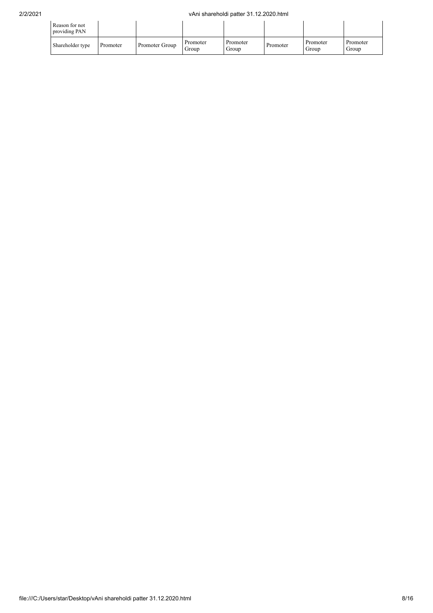| Reason for not<br>providing PAN |          |                |                   |                   |          |                   |                   |
|---------------------------------|----------|----------------|-------------------|-------------------|----------|-------------------|-------------------|
| Shareholder type                | Promoter | Promoter Group | Promoter<br>Group | Promoter<br>Group | Promoter | Promoter<br>Group | Promoter<br>Group |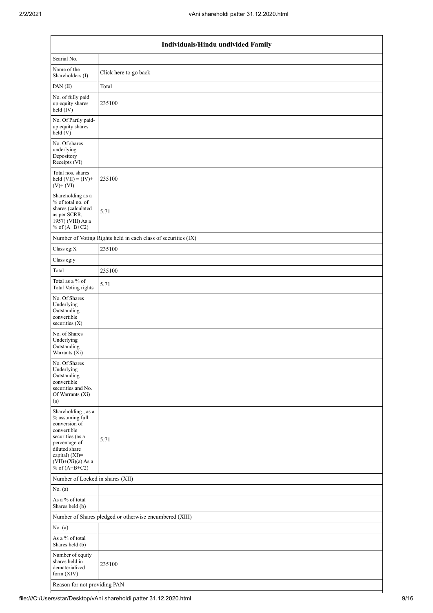|                                                                                                                                                                                          | Individuals/Hindu undivided Family                            |  |  |  |  |  |  |  |  |
|------------------------------------------------------------------------------------------------------------------------------------------------------------------------------------------|---------------------------------------------------------------|--|--|--|--|--|--|--|--|
| Searial No.                                                                                                                                                                              |                                                               |  |  |  |  |  |  |  |  |
| Name of the<br>Shareholders (I)                                                                                                                                                          | Click here to go back                                         |  |  |  |  |  |  |  |  |
| PAN(II)                                                                                                                                                                                  | Total                                                         |  |  |  |  |  |  |  |  |
| No. of fully paid<br>up equity shares<br>held (IV)                                                                                                                                       | 235100                                                        |  |  |  |  |  |  |  |  |
| No. Of Partly paid-<br>up equity shares<br>held (V)                                                                                                                                      |                                                               |  |  |  |  |  |  |  |  |
| No. Of shares<br>underlying<br>Depository<br>Receipts (VI)                                                                                                                               |                                                               |  |  |  |  |  |  |  |  |
| Total nos. shares<br>held $(VII) = (IV) +$<br>$(V)$ + $(VI)$                                                                                                                             | 235100                                                        |  |  |  |  |  |  |  |  |
| Shareholding as a<br>% of total no. of<br>shares (calculated<br>as per SCRR,<br>1957) (VIII) As a<br>% of $(A+B+C2)$                                                                     | 5.71                                                          |  |  |  |  |  |  |  |  |
|                                                                                                                                                                                          | Number of Voting Rights held in each class of securities (IX) |  |  |  |  |  |  |  |  |
| Class eg:X                                                                                                                                                                               | 235100                                                        |  |  |  |  |  |  |  |  |
| Class eg:y                                                                                                                                                                               |                                                               |  |  |  |  |  |  |  |  |
| Total                                                                                                                                                                                    | 235100                                                        |  |  |  |  |  |  |  |  |
| Total as a % of<br><b>Total Voting rights</b>                                                                                                                                            | 5.71                                                          |  |  |  |  |  |  |  |  |
| No. Of Shares<br>Underlying<br>Outstanding<br>convertible<br>securities (X)                                                                                                              |                                                               |  |  |  |  |  |  |  |  |
| No. of Shares<br>Underlying<br>Outstanding<br>Warrants (Xi)                                                                                                                              |                                                               |  |  |  |  |  |  |  |  |
| No. Of Shares<br>Underlying<br>Outstanding<br>convertible<br>securities and No.<br>Of Warrants (Xi)<br>(a)                                                                               |                                                               |  |  |  |  |  |  |  |  |
| Shareholding, as a<br>% assuming full<br>conversion of<br>convertible<br>securities (as a<br>percentage of<br>diluted share<br>capital) (XI)=<br>$(VII)+(Xi)(a)$ As a<br>% of $(A+B+C2)$ | 5.71                                                          |  |  |  |  |  |  |  |  |
| Number of Locked in shares (XII)                                                                                                                                                         |                                                               |  |  |  |  |  |  |  |  |
| No. (a)                                                                                                                                                                                  |                                                               |  |  |  |  |  |  |  |  |
| As a % of total<br>Shares held (b)                                                                                                                                                       |                                                               |  |  |  |  |  |  |  |  |
|                                                                                                                                                                                          | Number of Shares pledged or otherwise encumbered (XIII)       |  |  |  |  |  |  |  |  |
| No. (a)                                                                                                                                                                                  |                                                               |  |  |  |  |  |  |  |  |
| As a % of total<br>Shares held (b)                                                                                                                                                       |                                                               |  |  |  |  |  |  |  |  |
| Number of equity<br>shares held in<br>dematerialized<br>form (XIV)                                                                                                                       | 235100                                                        |  |  |  |  |  |  |  |  |
| Reason for not providing PAN                                                                                                                                                             |                                                               |  |  |  |  |  |  |  |  |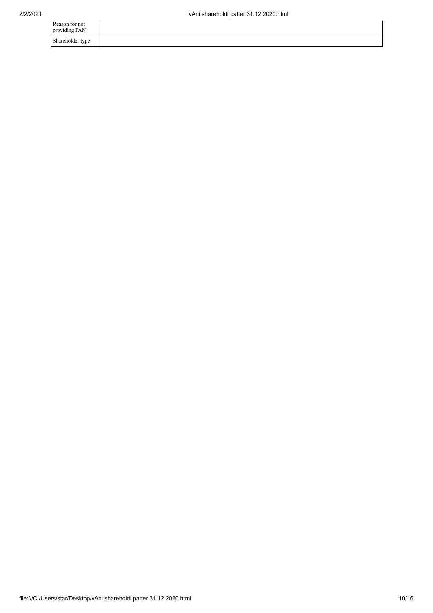| Reason for not<br>providing PAN |  |
|---------------------------------|--|
| Shareholder type                |  |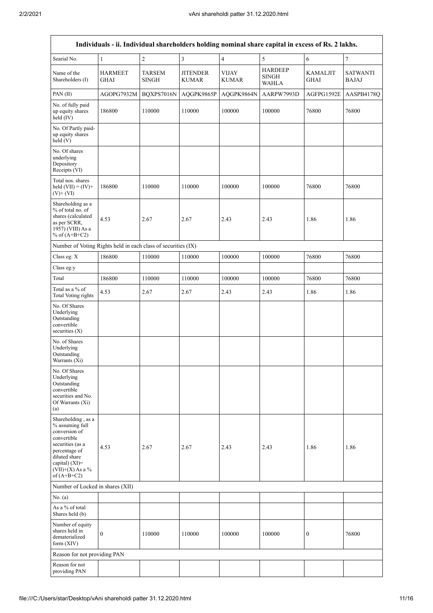|                                                                                                                                                                                      | Individuals - ii. Individual shareholders holding nominal share capital in excess of Rs. 2 lakhs. |                               |                                 |                              |                                                |                                |                                 |  |  |  |  |  |
|--------------------------------------------------------------------------------------------------------------------------------------------------------------------------------------|---------------------------------------------------------------------------------------------------|-------------------------------|---------------------------------|------------------------------|------------------------------------------------|--------------------------------|---------------------------------|--|--|--|--|--|
| Searial No.                                                                                                                                                                          | $\mathbf{1}$                                                                                      | $\sqrt{2}$                    | $\overline{\mathbf{3}}$         | $\overline{4}$               | 5                                              | 6                              | $\tau$                          |  |  |  |  |  |
| Name of the<br>Shareholders (I)                                                                                                                                                      | <b>HARMEET</b><br>GHAI                                                                            | <b>TARSEM</b><br><b>SINGH</b> | <b>JITENDER</b><br><b>KUMAR</b> | <b>VIJAY</b><br><b>KUMAR</b> | <b>HARDEEP</b><br><b>SINGH</b><br><b>WAHLA</b> | <b>KAMALJIT</b><br><b>GHAI</b> | <b>SATWANTI</b><br><b>BAJAJ</b> |  |  |  |  |  |
| PAN(II)                                                                                                                                                                              | AGOPG7932M                                                                                        | BQXPS7016N                    | AQGPK9865P                      | AQGPK9864N                   | AARPW7993D                                     | AGFPG1592E                     | AASPB4178Q                      |  |  |  |  |  |
| No. of fully paid<br>up equity shares<br>held (IV)                                                                                                                                   | 186800                                                                                            | 110000                        | 110000                          | 100000                       | 100000                                         | 76800                          | 76800                           |  |  |  |  |  |
| No. Of Partly paid-<br>up equity shares<br>held (V)                                                                                                                                  |                                                                                                   |                               |                                 |                              |                                                |                                |                                 |  |  |  |  |  |
| No. Of shares<br>underlying<br>Depository<br>Receipts (VI)                                                                                                                           |                                                                                                   |                               |                                 |                              |                                                |                                |                                 |  |  |  |  |  |
| Total nos. shares<br>held $(VII) = (IV) +$<br>$(V)+(VI)$                                                                                                                             | 186800                                                                                            | 110000                        | 110000                          | 100000                       | 100000                                         | 76800                          | 76800                           |  |  |  |  |  |
| Shareholding as a<br>% of total no. of<br>shares (calculated<br>as per SCRR,<br>1957) (VIII) As a<br>% of $(A+B+C2)$                                                                 | 4.53                                                                                              | 2.67                          | 2.67                            | 2.43                         | 2.43                                           | 1.86                           | 1.86                            |  |  |  |  |  |
| Number of Voting Rights held in each class of securities (IX)                                                                                                                        |                                                                                                   |                               |                                 |                              |                                                |                                |                                 |  |  |  |  |  |
| Class eg: X                                                                                                                                                                          | 186800                                                                                            | 110000                        | 110000                          | 100000                       | 100000                                         | 76800                          | 76800                           |  |  |  |  |  |
| Class eg:y                                                                                                                                                                           |                                                                                                   |                               |                                 |                              |                                                |                                |                                 |  |  |  |  |  |
| Total                                                                                                                                                                                | 186800                                                                                            | 110000                        | 110000                          | 100000                       | 100000                                         | 76800                          | 76800                           |  |  |  |  |  |
| Total as a % of<br><b>Total Voting rights</b>                                                                                                                                        | 4.53                                                                                              | 2.67                          | 2.67                            | 2.43                         | 2.43                                           | 1.86                           | 1.86                            |  |  |  |  |  |
| No. Of Shares<br>Underlying<br>Outstanding<br>convertible<br>securities $(X)$                                                                                                        |                                                                                                   |                               |                                 |                              |                                                |                                |                                 |  |  |  |  |  |
| No. of Shares<br>Underlying<br>Outstanding<br>Warrants (Xi)                                                                                                                          |                                                                                                   |                               |                                 |                              |                                                |                                |                                 |  |  |  |  |  |
| No. Of Shares<br>Underlying<br>Outstanding<br>convertible<br>securities and No.<br>Of Warrants (Xi)<br>(a)                                                                           |                                                                                                   |                               |                                 |                              |                                                |                                |                                 |  |  |  |  |  |
| Shareholding, as a<br>% assuming full<br>conversion of<br>convertible<br>securities (as a<br>percentage of<br>diluted share<br>capital) (XI)=<br>$(VII)+(X)$ As a %<br>of $(A+B+C2)$ | 4.53                                                                                              | 2.67                          | 2.67                            | 2.43                         | 2.43                                           | 1.86                           | 1.86                            |  |  |  |  |  |
| Number of Locked in shares (XII)                                                                                                                                                     |                                                                                                   |                               |                                 |                              |                                                |                                |                                 |  |  |  |  |  |
| No. (a)                                                                                                                                                                              |                                                                                                   |                               |                                 |                              |                                                |                                |                                 |  |  |  |  |  |
| As a % of total<br>Shares held (b)                                                                                                                                                   |                                                                                                   |                               |                                 |                              |                                                |                                |                                 |  |  |  |  |  |
| Number of equity<br>shares held in<br>dematerialized<br>form $(XIV)$                                                                                                                 | $\mathbf{0}$                                                                                      | 110000                        | 110000                          | 100000                       | 100000                                         | $\boldsymbol{0}$               | 76800                           |  |  |  |  |  |
| Reason for not providing PAN                                                                                                                                                         |                                                                                                   |                               |                                 |                              |                                                |                                |                                 |  |  |  |  |  |
| Reason for not<br>providing PAN                                                                                                                                                      |                                                                                                   |                               |                                 |                              |                                                |                                |                                 |  |  |  |  |  |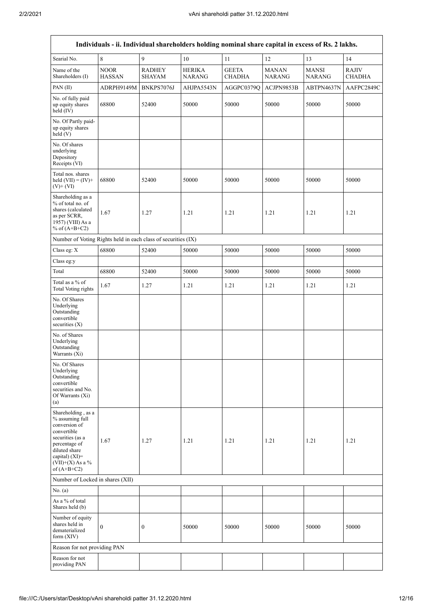$\mathsf{r}$ 

| Individuals - ii. Individual shareholders holding nominal share capital in excess of Rs. 2 lakhs.                                                                                       |                              |                                |                                |                        |                               |                               |                               |  |  |  |
|-----------------------------------------------------------------------------------------------------------------------------------------------------------------------------------------|------------------------------|--------------------------------|--------------------------------|------------------------|-------------------------------|-------------------------------|-------------------------------|--|--|--|
| Searial No.                                                                                                                                                                             | 8                            | 9                              | 10                             | 11                     | 12                            | 13                            | 14                            |  |  |  |
| Name of the<br>Shareholders (I)                                                                                                                                                         | <b>NOOR</b><br><b>HASSAN</b> | <b>RADHEY</b><br><b>SHAYAM</b> | <b>HERIKA</b><br><b>NARANG</b> | <b>GEETA</b><br>CHADHA | <b>MANAN</b><br><b>NARANG</b> | <b>MANSI</b><br><b>NARANG</b> | <b>RAJIV</b><br><b>CHADHA</b> |  |  |  |
| PAN(II)                                                                                                                                                                                 | ADRPH9149M                   | BNKPS7076J                     | AHJPA5543N                     | AGGPC0379Q             | ACJPN9853B                    | ABTPN4637N                    | AAFPC2849C                    |  |  |  |
| No. of fully paid<br>up equity shares<br>held $(IV)$                                                                                                                                    | 68800                        | 52400                          | 50000                          | 50000                  | 50000                         | 50000                         | 50000                         |  |  |  |
| No. Of Partly paid-<br>up equity shares<br>held (V)                                                                                                                                     |                              |                                |                                |                        |                               |                               |                               |  |  |  |
| No. Of shares<br>underlying<br>Depository<br>Receipts (VI)                                                                                                                              |                              |                                |                                |                        |                               |                               |                               |  |  |  |
| Total nos. shares<br>held $(VII) = (IV) +$<br>$(V)+(VI)$                                                                                                                                | 68800                        | 52400                          | 50000                          | 50000                  | 50000                         | 50000                         | 50000                         |  |  |  |
| Shareholding as a<br>% of total no. of<br>shares (calculated<br>as per SCRR,<br>1957) (VIII) As a<br>% of $(A+B+C2)$                                                                    | 1.67                         | 1.27                           | 1.21                           | 1.21                   | 1.21                          | 1.21                          | 1.21                          |  |  |  |
| Number of Voting Rights held in each class of securities (IX)                                                                                                                           |                              |                                |                                |                        |                               |                               |                               |  |  |  |
| Class eg: X                                                                                                                                                                             | 68800                        | 52400                          | 50000                          | 50000                  | 50000                         | 50000                         | 50000                         |  |  |  |
| Class eg:y                                                                                                                                                                              |                              |                                |                                |                        |                               |                               |                               |  |  |  |
| Total                                                                                                                                                                                   | 68800                        | 52400                          | 50000                          | 50000                  | 50000                         | 50000                         | 50000                         |  |  |  |
| Total as a % of<br><b>Total Voting rights</b>                                                                                                                                           | 1.67                         | 1.27                           | 1.21                           | 1.21                   | 1.21                          | 1.21                          | 1.21                          |  |  |  |
| No. Of Shares<br>Underlying<br>Outstanding<br>convertible<br>securities $(X)$                                                                                                           |                              |                                |                                |                        |                               |                               |                               |  |  |  |
| No. of Shares<br>Underlying<br>Outstanding<br>Warrants (Xi)                                                                                                                             |                              |                                |                                |                        |                               |                               |                               |  |  |  |
| No. Of Shares<br>Underlying<br>Outstanding<br>convertible<br>securities and No.<br>Of Warrants (Xi)<br>(a)                                                                              |                              |                                |                                |                        |                               |                               |                               |  |  |  |
| Shareholding, as a<br>% assuming full<br>conversion of<br>convertible<br>securities (as a<br>percentage of<br>diluted share<br>capital) $(XI)$ =<br>$(VII)+(X)$ As a %<br>of $(A+B+C2)$ | 1.67                         | 1.27                           | 1.21                           | 1.21                   | 1.21                          | 1.21                          | 1.21                          |  |  |  |
| Number of Locked in shares (XII)                                                                                                                                                        |                              |                                |                                |                        |                               |                               |                               |  |  |  |
| No. (a)                                                                                                                                                                                 |                              |                                |                                |                        |                               |                               |                               |  |  |  |
| As a % of total<br>Shares held (b)                                                                                                                                                      |                              |                                |                                |                        |                               |                               |                               |  |  |  |
| Number of equity<br>shares held in<br>dematerialized<br>form $(XIV)$                                                                                                                    | $\overline{0}$               | $\boldsymbol{0}$               | 50000                          | 50000                  | 50000                         | 50000                         | 50000                         |  |  |  |
| Reason for not providing PAN                                                                                                                                                            |                              |                                |                                |                        |                               |                               |                               |  |  |  |
| Reason for not<br>providing PAN                                                                                                                                                         |                              |                                |                                |                        |                               |                               |                               |  |  |  |

 $\overline{\phantom{a}}$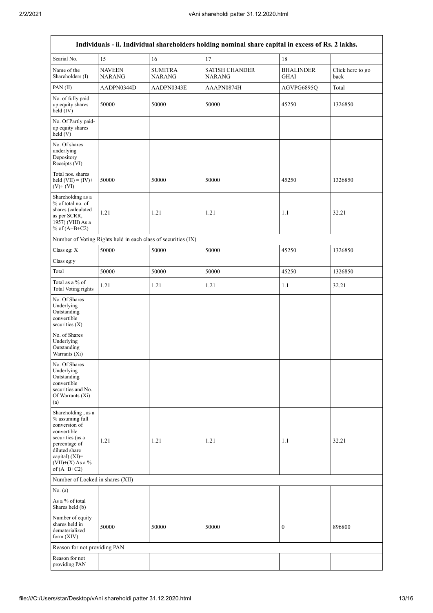| Individuals - ii. Individual shareholders holding nominal share capital in excess of Rs. 2 lakhs.                                                                                    |                                                               |                                 |                                        |                                 |                          |  |  |
|--------------------------------------------------------------------------------------------------------------------------------------------------------------------------------------|---------------------------------------------------------------|---------------------------------|----------------------------------------|---------------------------------|--------------------------|--|--|
| Searial No.                                                                                                                                                                          | 15                                                            | 16                              | 17                                     | 18                              |                          |  |  |
| Name of the<br>Shareholders (I)                                                                                                                                                      | <b>NAVEEN</b><br><b>NARANG</b>                                | <b>SUMITRA</b><br><b>NARANG</b> | <b>SATISH CHANDER</b><br><b>NARANG</b> | <b>BHALINDER</b><br><b>GHAI</b> | Click here to go<br>back |  |  |
| PAN(II)                                                                                                                                                                              | AADPN0344D                                                    | AADPN0343E                      | AAAPN0874H                             | AGVPG6895Q                      | Total                    |  |  |
| No. of fully paid<br>up equity shares<br>held (IV)                                                                                                                                   | 50000                                                         | 50000                           | 50000                                  | 45250                           | 1326850                  |  |  |
| No. Of Partly paid-<br>up equity shares<br>held (V)                                                                                                                                  |                                                               |                                 |                                        |                                 |                          |  |  |
| No. Of shares<br>underlying<br>Depository<br>Receipts (VI)                                                                                                                           |                                                               |                                 |                                        |                                 |                          |  |  |
| Total nos. shares<br>held $(VII) = (IV) +$<br>$(V)$ + $(VI)$                                                                                                                         | 50000                                                         | 50000                           | 50000                                  | 45250                           | 1326850                  |  |  |
| Shareholding as a<br>% of total no. of<br>shares (calculated<br>as per SCRR,<br>1957) (VIII) As a<br>% of $(A+B+C2)$                                                                 | 1.21                                                          | 1.21                            | 1.21                                   | 1.1                             | 32.21                    |  |  |
|                                                                                                                                                                                      | Number of Voting Rights held in each class of securities (IX) |                                 |                                        |                                 |                          |  |  |
| Class eg: X                                                                                                                                                                          | 50000                                                         | 50000                           | 50000                                  | 45250                           | 1326850                  |  |  |
| Class eg:y                                                                                                                                                                           |                                                               |                                 |                                        |                                 |                          |  |  |
| Total                                                                                                                                                                                | 50000                                                         | 50000                           | 50000                                  | 45250                           | 1326850                  |  |  |
| Total as a % of<br><b>Total Voting rights</b>                                                                                                                                        | 1.21                                                          | 1.21                            | 1.21                                   | 1.1                             | 32.21                    |  |  |
| No. Of Shares<br>Underlying<br>Outstanding<br>convertible<br>securities (X)                                                                                                          |                                                               |                                 |                                        |                                 |                          |  |  |
| No. of Shares<br>Underlying<br>Outstanding<br>Warrants (Xi)                                                                                                                          |                                                               |                                 |                                        |                                 |                          |  |  |
| No. Of Shares<br>Underlying<br>Outstanding<br>convertible<br>securities and No.<br>Of Warrants (Xi)<br>(a)                                                                           |                                                               |                                 |                                        |                                 |                          |  |  |
| Shareholding, as a<br>% assuming full<br>conversion of<br>convertible<br>securities (as a<br>percentage of<br>diluted share<br>capital) (XI)=<br>$(VII)+(X)$ As a %<br>of $(A+B+C2)$ | 1.21                                                          | 1.21                            | 1.21                                   | 1.1                             | 32.21                    |  |  |
| Number of Locked in shares (XII)                                                                                                                                                     |                                                               |                                 |                                        |                                 |                          |  |  |
| No. (a)                                                                                                                                                                              |                                                               |                                 |                                        |                                 |                          |  |  |
| As a % of total<br>Shares held (b)                                                                                                                                                   |                                                               |                                 |                                        |                                 |                          |  |  |
| Number of equity<br>shares held in<br>dematerialized<br>form (XIV)                                                                                                                   | 50000                                                         | 50000                           | 50000                                  | 0                               | 896800                   |  |  |
| Reason for not providing PAN                                                                                                                                                         |                                                               |                                 |                                        |                                 |                          |  |  |
| Reason for not<br>providing PAN                                                                                                                                                      |                                                               |                                 |                                        |                                 |                          |  |  |

٦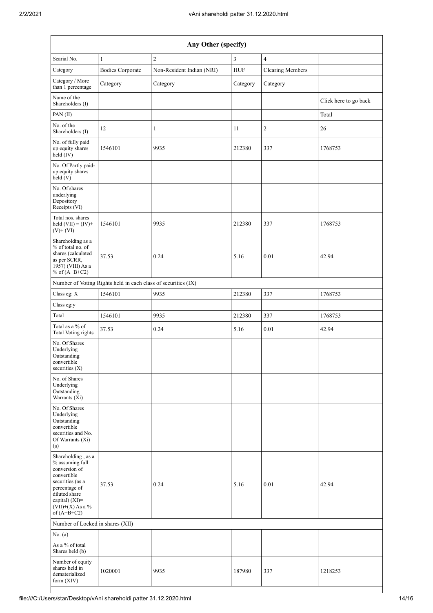| Any Other (specify)                                                                                                                                                                     |                                                               |                           |            |                         |                       |  |  |
|-----------------------------------------------------------------------------------------------------------------------------------------------------------------------------------------|---------------------------------------------------------------|---------------------------|------------|-------------------------|-----------------------|--|--|
| Searial No.                                                                                                                                                                             | $\mathbf{1}$                                                  | $\overline{c}$            | 3          | $\overline{4}$          |                       |  |  |
| Category                                                                                                                                                                                | <b>Bodies Corporate</b>                                       | Non-Resident Indian (NRI) | <b>HUF</b> | <b>Clearing Members</b> |                       |  |  |
| Category / More<br>than 1 percentage                                                                                                                                                    | Category                                                      | Category                  | Category   | Category                |                       |  |  |
| Name of the<br>Shareholders (I)                                                                                                                                                         |                                                               |                           |            |                         | Click here to go back |  |  |
| PAN(II)                                                                                                                                                                                 |                                                               |                           |            |                         | Total                 |  |  |
| No. of the<br>Shareholders (I)                                                                                                                                                          | $12\,$                                                        | 1                         | 11         | $\sqrt{2}$              | $26\,$                |  |  |
| No. of fully paid<br>up equity shares<br>held (IV)                                                                                                                                      | 1546101                                                       | 9935                      | 212380     | 337                     | 1768753               |  |  |
| No. Of Partly paid-<br>up equity shares<br>held(V)                                                                                                                                      |                                                               |                           |            |                         |                       |  |  |
| No. Of shares<br>underlying<br>Depository<br>Receipts (VI)                                                                                                                              |                                                               |                           |            |                         |                       |  |  |
| Total nos. shares<br>held $(VII) = (IV) +$<br>$(V)$ + $(VI)$                                                                                                                            | 1546101                                                       | 9935                      | 212380     | 337                     | 1768753               |  |  |
| Shareholding as a<br>% of total no. of<br>shares (calculated<br>as per SCRR,<br>1957) (VIII) As a<br>% of $(A+B+C2)$                                                                    | 37.53                                                         | 0.24                      | 5.16       | 0.01                    | 42.94                 |  |  |
|                                                                                                                                                                                         | Number of Voting Rights held in each class of securities (IX) |                           |            |                         |                       |  |  |
| Class eg: X                                                                                                                                                                             | 1546101                                                       | 9935                      | 212380     | 337                     | 1768753               |  |  |
| Class eg:y                                                                                                                                                                              |                                                               |                           |            |                         |                       |  |  |
| Total                                                                                                                                                                                   | 1546101                                                       | 9935                      | 212380     | 337                     | 1768753               |  |  |
| Total as a % of<br><b>Total Voting rights</b>                                                                                                                                           | 37.53                                                         | 0.24                      | 5.16       | $0.01\,$                | 42.94                 |  |  |
| No. Of Shares<br>Underlying<br>Outstanding<br>convertible<br>securities (X)                                                                                                             |                                                               |                           |            |                         |                       |  |  |
| No. of Shares<br>Underlying<br>Outstanding<br>Warrants (Xi)                                                                                                                             |                                                               |                           |            |                         |                       |  |  |
| No. Of Shares<br>Underlying<br>Outstanding<br>convertible<br>securities and No.<br>Of Warrants (Xi)<br>(a)                                                                              |                                                               |                           |            |                         |                       |  |  |
| Shareholding, as a<br>% assuming full<br>conversion of<br>convertible<br>securities (as a<br>percentage of<br>diluted share<br>capital) $(XI)$ =<br>$(VII)+(X)$ As a %<br>of $(A+B+C2)$ | 37.53                                                         | 0.24                      | 5.16       | 0.01                    | 42.94                 |  |  |
| Number of Locked in shares (XII)                                                                                                                                                        |                                                               |                           |            |                         |                       |  |  |
| No. (a)                                                                                                                                                                                 |                                                               |                           |            |                         |                       |  |  |
| As a % of total<br>Shares held (b)                                                                                                                                                      |                                                               |                           |            |                         |                       |  |  |
| Number of equity<br>shares held in<br>dematerialized<br>form (XIV)                                                                                                                      | 1020001                                                       | 9935                      | 187980     | 337                     | 1218253               |  |  |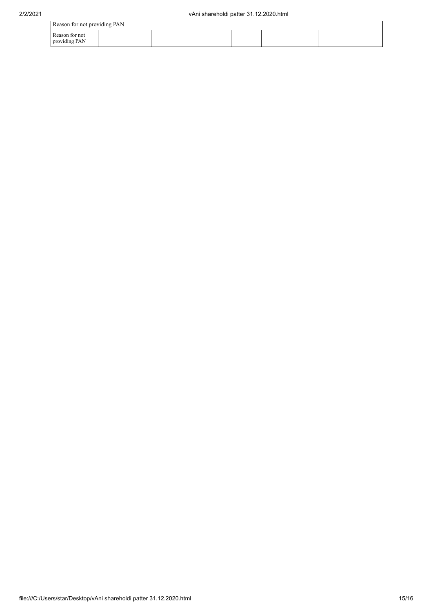| Reason for not providing PAN    |  |  |  |  |  |  |
|---------------------------------|--|--|--|--|--|--|
| Reason for not<br>providing PAN |  |  |  |  |  |  |